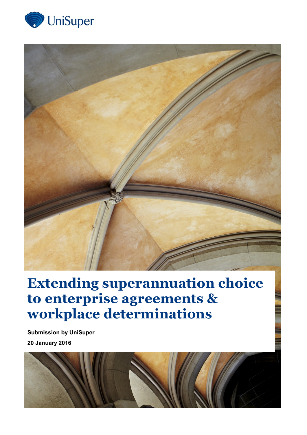



# **Extending superannuation choice to enterprise agreements & workplace determinations**

**Submission by UniSuper 20 January 2016**

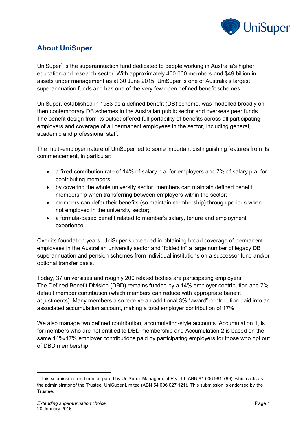

# **About UniSuper**

UniSuper<sup>1</sup> is the superannuation fund dedicated to people working in Australia's higher education and research sector. With approximately 400,000 members and \$49 billion in assets under management as at 30 June 2015, UniSuper is one of Australia's largest superannuation funds and has one of the very few open defined benefit schemes.

UniSuper, established in 1983 as a defined benefit (DB) scheme, was modelled broadly on then contemporary DB schemes in the Australian public sector and overseas peer funds. The benefit design from its outset offered full portability of benefits across all participating employers and coverage of all permanent employees in the sector, including general, academic and professional staff.

The multi-employer nature of UniSuper led to some important distinguishing features from its commencement, in particular:

- a fixed contribution rate of 14% of salary p.a. for employers and 7% of salary p.a. for contributing members;
- by covering the whole university sector, members can maintain defined benefit membership when transferring between employers within the sector;
- members can defer their benefits (so maintain membership) through periods when not employed in the university sector;
- a formula-based benefit related to member's salary, tenure and employment experience.

Over its foundation years, UniSuper succeeded in obtaining broad coverage of permanent employees in the Australian university sector and "folded in" a large number of legacy DB superannuation and pension schemes from individual institutions on a successor fund and/or optional transfer basis.

Today, 37 universities and roughly 200 related bodies are participating employers. The Defined Benefit Division (DBD) remains funded by a 14% employer contribution and 7% default member contribution (which members can reduce with appropriate benefit adjustments). Many members also receive an additional 3% "award" contribution paid into an associated accumulation account, making a total employer contribution of 17%.

We also manage two defined contribution, accumulation-style accounts. Accumulation 1, is for members who are not entitled to DBD membership and Accumulation 2 is based on the same 14%/17% employer contributions paid by participating employers for those who opt out of DBD membership.

-

 $1$  This submission has been prepared by UniSuper Management Pty Ltd (ABN 91 006 961 799), which acts as the administrator of the Trustee, UniSuper Limited (ABN 54 006 027 121). This submission is endorsed by the Trustee.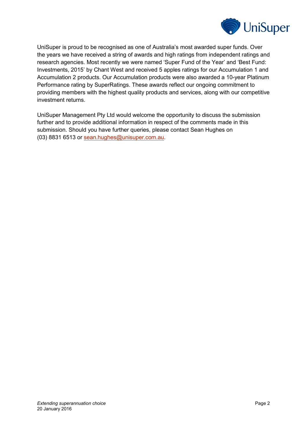

UniSuper is proud to be recognised as one of Australia's most awarded super funds. Over the years we have received a string of awards and high ratings from independent ratings and research agencies. Most recently we were named 'Super Fund of the Year' and 'Best Fund: Investments, 2015' by Chant West and received 5 apples ratings for our Accumulation 1 and Accumulation 2 products. Our Accumulation products were also awarded a 10-year Platinum Performance rating by SuperRatings. These awards reflect our ongoing commitment to providing members with the highest quality products and services, along with our competitive investment returns.

UniSuper Management Pty Ltd would welcome the opportunity to discuss the submission further and to provide additional information in respect of the comments made in this submission. Should you have further queries, please contact Sean Hughes on (03) 8831 6513 or [sean.hughes@unisuper.com.au.](mailto:benedict.davies@unisuper.com.au)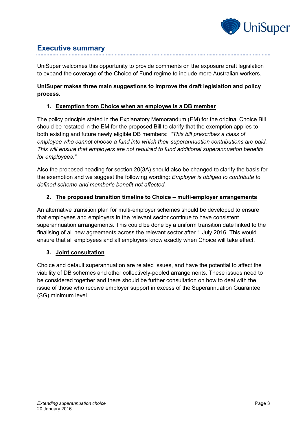

## **Executive summary**

UniSuper welcomes this opportunity to provide comments on the exposure draft legislation to expand the coverage of the Choice of Fund regime to include more Australian workers.

## **UniSuper makes three main suggestions to improve the draft legislation and policy process.**

## **1. Exemption from Choice when an employee is a DB member**

The policy principle stated in the Explanatory Memorandum (EM) for the original Choice Bill should be restated in the EM for the proposed Bill to clarify that the exemption applies to both existing and future newly eligible DB members: *"This bill prescribes a class of employee who cannot choose a fund into which their superannuation contributions are paid. This will ensure that employers are not required to fund additional superannuation benefits for employees."*

Also the proposed heading for section 20(3A) should also be changed to clarify the basis for the exemption and we suggest the following wording: *Employer is obliged to contribute to defined scheme and member's benefit not affected.*

## **2. The proposed transition timeline to Choice – multi-employer arrangements**

An alternative transition plan for multi-employer schemes should be developed to ensure that employees and employers in the relevant sector continue to have consistent superannuation arrangements. This could be done by a uniform transition date linked to the finalising of all new agreements across the relevant sector after 1 July 2016. This would ensure that all employees and all employers know exactly when Choice will take effect.

## **3. Joint consultation**

Choice and default superannuation are related issues, and have the potential to affect the viability of DB schemes and other collectively-pooled arrangements. These issues need to be considered together and there should be further consultation on how to deal with the issue of those who receive employer support in excess of the Superannuation Guarantee (SG) minimum level.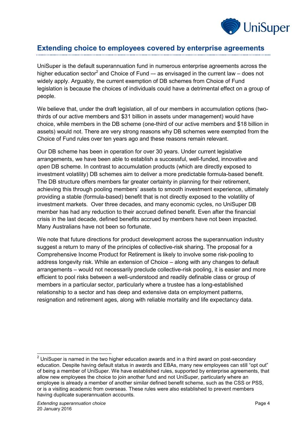

## **Extending choice to employees covered by enterprise agreements**

UniSuper is the default superannuation fund in numerous enterprise agreements across the higher education sector<sup>2</sup> and Choice of Fund  $-$  as envisaged in the current law  $-$  does not widely apply. Arguably, the current exemption of DB schemes from Choice of Fund legislation is because the choices of individuals could have a detrimental effect on a group of people.

We believe that, under the draft legislation, all of our members in accumulation options (twothirds of our active members and \$31 billion in assets under management) would have choice, while members in the DB scheme (one-third of our active members and \$18 billion in assets) would not. There are very strong reasons why DB schemes were exempted from the Choice of Fund rules over ten years ago and these reasons remain relevant.

Our DB scheme has been in operation for over 30 years. Under current legislative arrangements, we have been able to establish a successful, well-funded, innovative and *open* DB scheme. In contrast to accumulation products (which are directly exposed to investment volatility) DB schemes aim to deliver a more predictable formula-based benefit. The DB structure offers members far greater certainty in planning for their retirement, achieving this through pooling members' assets to smooth investment experience, ultimately providing a stable (formula-based) benefit that is not directly exposed to the volatility of investment markets. Over three decades, and many economic cycles, no UniSuper DB member has had any reduction to their accrued defined benefit. Even after the financial crisis in the last decade, defined benefits accrued by members have not been impacted. Many Australians have not been so fortunate.

We note that future directions for product development across the superannuation industry suggest a return to many of the principles of collective-risk sharing. The proposal for a Comprehensive Income Product for Retirement is likely to involve some risk-pooling to address longevity risk. While an extension of Choice – along with any changes to default arrangements – would not necessarily preclude collective-risk pooling, it is easier and more efficient to pool risks between a well-understood and readily definable class or group of members in a particular sector, particularly where a trustee has a long-established relationship to a sector and has deep and extensive data on employment patterns, resignation and retirement ages, along with reliable mortality and life expectancy data.

-

 $2$  UniSuper is named in the two higher education awards and in a third award on post-secondary education. Despite having default status in awards and EBAs, many new employees can still "opt out" of being a member of UniSuper. We have established rules, supported by enterprise agreements, that allow new employees the choice to join another fund and not UniSuper, particularly where an employee is already a member of another similar defined benefit scheme, such as the CSS or PSS, or is a visiting academic from overseas. These rules were also established to prevent members having duplicate superannuation accounts.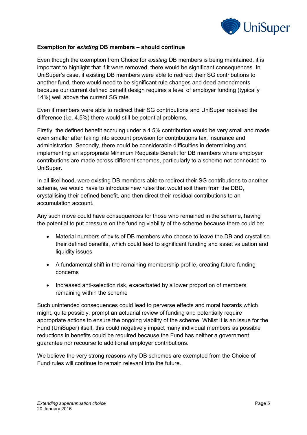

## **Exemption for** *existing* **DB members – should continue**

Even though the exemption from Choice for *existing* DB members is being maintained, it is important to highlight that if it were removed, there would be significant consequences. In UniSuper's case, if existing DB members were able to redirect their SG contributions to another fund, there would need to be significant rule changes and deed amendments because our current defined benefit design requires a level of employer funding (typically 14%) well above the current SG rate.

Even if members were able to redirect their SG contributions and UniSuper received the difference (i.e. 4.5%) there would still be potential problems.

Firstly, the defined benefit accruing under a 4.5% contribution would be very small and made even smaller after taking into account provision for contributions tax, insurance and administration. Secondly, there could be considerable difficulties in determining and implementing an appropriate Minimum Requisite Benefit for DB members where employer contributions are made across different schemes, particularly to a scheme not connected to UniSuper.

In all likelihood, were existing DB members able to redirect their SG contributions to another scheme, we would have to introduce new rules that would exit them from the DBD, crystallising their defined benefit, and then direct their residual contributions to an accumulation account.

Any such move could have consequences for those who remained in the scheme, having the potential to put pressure on the funding viability of the scheme because there could be:

- Material numbers of exits of DB members who choose to leave the DB and crystallise their defined benefits, which could lead to significant funding and asset valuation and liquidity issues
- A fundamental shift in the remaining membership profile, creating future funding concerns
- Increased anti-selection risk, exacerbated by a lower proportion of members remaining within the scheme

Such unintended consequences could lead to perverse effects and moral hazards which might, quite possibly, prompt an actuarial review of funding and potentially require appropriate actions to ensure the ongoing viability of the scheme. Whilst it is an issue for the Fund (UniSuper) itself, this could negatively impact many individual members as possible reductions in benefits could be required because the Fund has neither a government guarantee nor recourse to additional employer contributions.

We believe the very strong reasons why DB schemes are exempted from the Choice of Fund rules will continue to remain relevant into the future.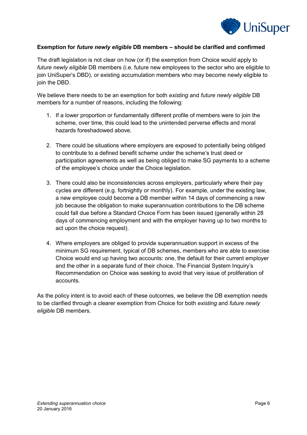

## **Exemption for** *future newly eligible* **DB members – should be clarified and confirmed**

The draft legislation is not clear on how (or if) the exemption from Choice would apply to *future newly eligible* DB members (i.e. future new employees to the sector who are eligible to join UniSuper's DBD), or existing accumulation members who may become newly eligible to join the DBD.

We believe there needs to be an exemption for both *existing* and *future newly eligible* DB members for a number of reasons, including the following:

- 1. If a lower proportion or fundamentally different profile of members were to join the scheme, over time, this could lead to the unintended perverse effects and moral hazards foreshadowed above.
- 2. There could be situations where employers are exposed to potentially being obliged to contribute to a defined benefit scheme under the scheme's trust deed or participation agreements as well as being obliged to make SG payments to a scheme of the employee's choice under the Choice legislation.
- 3. There could also be inconsistencies across employers, particularly where their pay cycles are different (e.g. fortnightly or monthly). For example, under the existing law, a new employee could become a DB member within 14 days of commencing a new job because the obligation to make superannuation contributions to the DB scheme could fall due before a Standard Choice Form has been issued (generally within 28 days of commencing employment and with the employer having up to two months to act upon the choice request).
- 4. Where employers are obliged to provide superannuation support in excess of the minimum SG requirement, typical of DB schemes, members who are able to exercise Choice would end up having two accounts: one, the default for their current employer and the other in a separate fund of their choice. The Financial System Inquiry's Recommendation on Choice was seeking to avoid that very issue of proliferation of accounts.

As the policy intent is to avoid each of these outcomes, we believe the DB exemption needs to be clarified through a clearer exemption from Choice for both *existing* and *future newly eligible* DB members.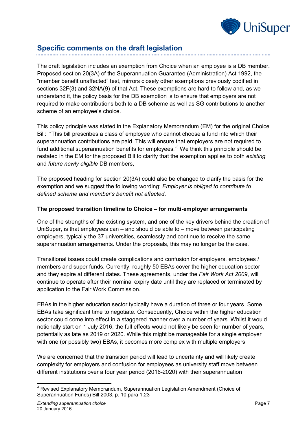

## **Specific comments on the draft legislation**

The draft legislation includes an exemption from Choice when an employee is a DB member. Proposed section 20(3A) of the Superannuation Guarantee (Administration) Act 1992, the "member benefit unaffected" test, mirrors closely other exemptions previously codified in sections 32F(3) and 32NA(9) of that Act. These exemptions are hard to follow and, as we understand it, the policy basis for the DB exemption is to ensure that employers are not required to make contributions both to a DB scheme as well as SG contributions to another scheme of an employee's choice.

This policy principle was stated in the Explanatory Memorandum (EM) for the original Choice Bill: "This bill prescribes a class of employee who cannot choose a fund into which their superannuation contributions are paid. This will ensure that employers are not required to fund additional superannuation benefits for employees."<sup>3</sup> We think this principle should be restated in the EM for the proposed Bill to clarify that the exemption applies to both *existing* and *future newly eligible* DB members,

The proposed heading for section 20(3A) could also be changed to clarify the basis for the exemption and we suggest the following wording: *Employer is obliged to contribute to defined scheme and member's benefit not affected*.

## **The proposed transition timeline to Choice – for multi-employer arrangements**

One of the strengths of the existing system, and one of the key drivers behind the creation of UniSuper, is that employees can – and should be able to – move between participating employers, typically the 37 universities, seamlessly and continue to receive the same superannuation arrangements. Under the proposals, this may no longer be the case.

Transitional issues could create complications and confusion for employers, employees / members and super funds. Currently, roughly 50 EBAs cover the higher education sector and they expire at different dates. These agreements, under the *Fair Work Act 2009*, will continue to operate after their nominal expiry date until they are replaced or terminated by application to the Fair Work Commission.

EBAs in the higher education sector typically have a duration of three or four years. Some EBAs take significant time to negotiate. Consequently, Choice within the higher education sector could come into effect in a staggered manner over a number of years. Whilst it would notionally start on 1 July 2016, the full effects would not likely be seen for number of years, potentially as late as 2019 or 2020. While this might be manageable for a single employer with one (or possibly two) EBAs, it becomes more complex with multiple employers.

We are concerned that the transition period will lead to uncertainty and will likely create complexity for employers and confusion for employees as university staff move between different institutions over a four year period (2016-2020) with their superannuation

<sup>-</sup> $3$  Revised Explanatory Memorandum, Superannuation Legislation Amendment (Choice of Superannuation Funds) Bill 2003, p. 10 para 1.23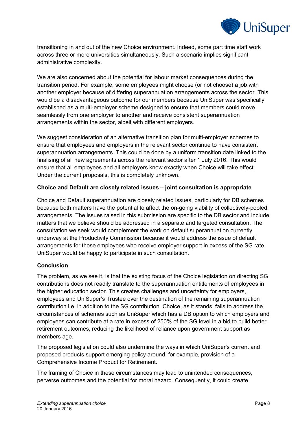

transitioning in and out of the new Choice environment. Indeed, some part time staff work across three or more universities simultaneously. Such a scenario implies significant administrative complexity.

We are also concerned about the potential for labour market consequences during the transition period. For example, some employees might choose (or not choose) a job with another employer because of differing superannuation arrangements across the sector. This would be a disadvantageous outcome for our members because UniSuper was specifically established as a multi-employer scheme designed to ensure that members could move seamlessly from one employer to another and receive consistent superannuation arrangements within the sector, albeit with different employers.

We suggest consideration of an alternative transition plan for multi-employer schemes to ensure that employees and employers in the relevant sector continue to have consistent superannuation arrangements. This could be done by a uniform transition date linked to the finalising of all new agreements across the relevant sector after 1 July 2016. This would ensure that all employees and all employers know exactly when Choice will take effect. Under the current proposals, this is completely unknown.

## **Choice and Default are closely related issues – joint consultation is appropriate**

Choice and Default superannuation are closely related issues, particularly for DB schemes because both matters have the potential to affect the on-going viability of collectively-pooled arrangements. The issues raised in this submission are specific to the DB sector and include matters that we believe should be addressed in a separate and targeted consultation. The consultation we seek would complement the work on default superannuation currently underway at the Productivity Commission because it would address the issue of default arrangements for those employees who receive employer support in excess of the SG rate. UniSuper would be happy to participate in such consultation.

#### **Conclusion**

The problem, as we see it, is that the existing focus of the Choice legislation on directing SG contributions does not readily translate to the superannuation entitlements of employees in the higher education sector. This creates challenges and uncertainty for employers, employees and UniSuper's Trustee over the destination of the remaining superannuation contribution i.e. in addition to the SG contribution. Choice, as it stands, fails to address the circumstances of schemes such as UniSuper which has a DB option to which employers and employees can contribute at a rate in excess of 250% of the SG level in a bid to build better retirement outcomes, reducing the likelihood of reliance upon government support as members age.

The proposed legislation could also undermine the ways in which UniSuper's current and proposed products support emerging policy around, for example, provision of a Comprehensive Income Product for Retirement.

The framing of Choice in these circumstances may lead to unintended consequences, perverse outcomes and the potential for moral hazard. Consequently, it could create